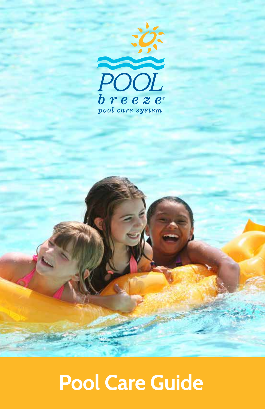

## **Pool Care Guide**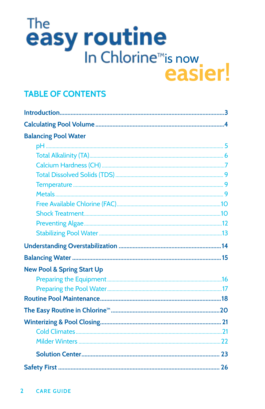# The<br>easy routine easier!

### **TABLE OF CONTENTS**

| <b>Balancing Pool Water</b>           |  |
|---------------------------------------|--|
|                                       |  |
|                                       |  |
|                                       |  |
|                                       |  |
|                                       |  |
|                                       |  |
|                                       |  |
|                                       |  |
|                                       |  |
|                                       |  |
|                                       |  |
|                                       |  |
| <b>New Pool &amp; Spring Start Up</b> |  |
|                                       |  |
|                                       |  |
|                                       |  |
|                                       |  |
|                                       |  |
|                                       |  |
|                                       |  |
|                                       |  |
|                                       |  |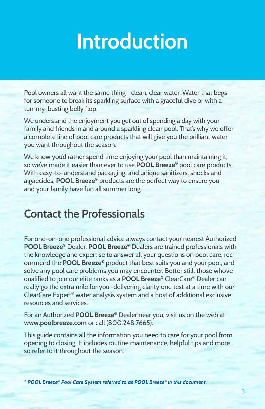## **Introduction**

Pool owners all want the same thing— clean, clear water. Water that begs for someone to break its sparkling surface with a graceful dive or with a tummy-busting belly flop.

We understand the enjoyment you get out of spending a day with your family and friends in and around a sparkling clean pool. That's why we offer a complete line of pool care products that will give you the brilliant water you want throughout the season.

We know you'd rather spend time enjoying your pool than maintaining it, so we've made it easier than ever to use **POOL Breeze®** pool care products. With easy-to-understand packaging, and unique sanitizers, shocks and algaecides, **POOL Breeze®** products are the perfect way to ensure you and your family have fun all summer long.

### **Contact the Professionals**

For one-on-one professional advice always contact your nearest Authorized **POOL Breeze®** Dealer. **POOL Breeze®** Dealers are trained professionals with the knowledge and expertise to answer all your questions on pool care, recommend the **POOL Breeze®** product that best suits you and your pool, and solve any pool care problems you may encounter. Better still, those who've qualified to join our elite ranks as a **POOL Breeze®** ClearCare® Dealer can really go the extra mile for you—delivering clarity one test at a time with our ClearCare Expert® water analysis system and a host of additional exclusive resources and services.

For an Authorized **POOL Breeze®** Dealer near you, visit us on the web at **www.poolbreeze.com** or call (800.248.7665).

This guide contains all the information you need to care for your pool from opening to closing. It includes routine maintenance, helpful tips and more... so refer to it throughout the season.

*\* POOL Breeze® Pool Care System referred to as POOL Breeze® in this document.*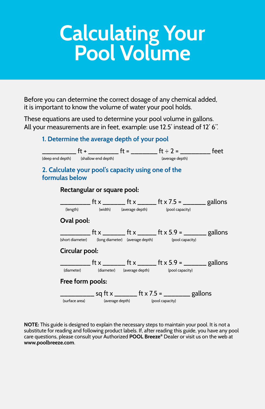## **Calculating Your Pool Volume**

Before you can determine the correct dosage of any chemical added, it is important to know the volume of water your pool holds.

These equations are used to determine your pool volume in gallons. All your measurements are in feet, example: use 12.5' instead of 12' 6".

### **1. Determine the average depth of your pool**



**NOTE:** This guide is designed to explain the necessary steps to maintain your pool. It is not a substitute for reading and following product labels. If, after reading this guide, you have any pool care questions, please consult your Authorized **POOL Breeze®** Dealer or visit us on the web at **www.poolbreeze.com**.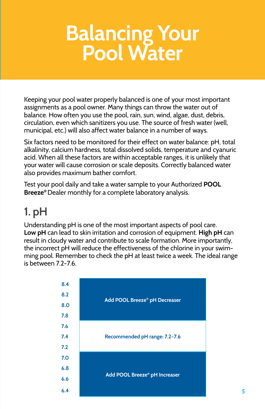## **Balancing Your Pool Water**

Keeping your pool water properly balanced is one of your most important assignments as a pool owner. Many things can throw the water out of balance. How often you use the pool, rain, sun, wind, algae, dust, debris, circulation, even which sanitizers you use. The source of fresh water (well, municipal, etc.) will also affect water balance in a number of ways.

Six factors need to be monitored for their effect on water balance: pH, total alkalinity, calcium hardness, total dissolved solids, temperature and cyanuric acid. When all these factors are within acceptable ranges, it is unlikely that your water will cause corrosion or scale deposits. Correctly balanced water also provides maximum bather comfort.

Test your pool daily and take a water sample to your Authorized **POOL Breeze®** Dealer monthly for a complete laboratory analysis.

## **1. pH**

Understanding pH is one of the most important aspects of pool care. **Low pH** can lead to skin irritation and corrosion of equipment. **High pH** can result in cloudy water and contribute to scale formation. More importantly, the incorrect pH will reduce the effectiveness of the chlorine in your swimming pool. Remember to check the pH at least twice a week. The ideal range is between 7.2-7.6.

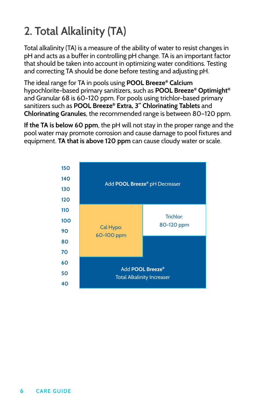## **2. Total Alkalinity (TA)**

Total alkalinity (TA) is a measure of the ability of water to resist changes in pH and acts as a buffer in controlling pH change. TA is an important factor that should be taken into account in optimizing water conditions. Testing and correcting TA should be done before testing and adjusting pH.

The ideal range for TA in pools using **POOL Breeze® Calcium** hypochlorite-based primary sanitizers, such as **POOL Breeze® Optimight®**  and Granular 68 is 60-120 ppm. For pools using trichlor-based primary sanitizers such as **POOL Breeze® Extra, 3" Chlorinating Tablets** and **Chlorinating Granules**, the recommended range is between 80–120 ppm.

**If the TA is below 60 ppm**, the pH will not stay in the proper range and the pool water may promote corrosion and cause damage to pool fixtures and equipment. **TA that is above 120 ppm** can cause cloudy water or scale.

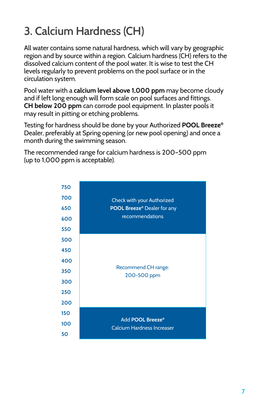## **3. Calcium Hardness (CH)**

All water contains some natural hardness, which will vary by geographic region and by source within a region. Calcium hardness (CH) refers to the dissolved calcium content of the pool water. It is wise to test the CH levels regularly to prevent problems on the pool surface or in the circulation system.

Pool water with a **calcium level above 1,000 ppm** may become cloudy and if left long enough will form scale on pool surfaces and fittings. **CH below 200 ppm** can corrode pool equipment. In plaster pools it may result in pitting or etching problems.

Testing for hardness should be done by your Authorized **POOL Breeze®** Dealer, preferably at Spring opening (or new pool opening) and once a month during the swimming season.

The recommended range for calcium hardness is 200–500 ppm (up to 1,000 ppm is acceptable).

| 750 |                                                       |  |  |  |
|-----|-------------------------------------------------------|--|--|--|
| 700 | Check with your Authorized                            |  |  |  |
| 650 | <b>POOL Breeze<sup>®</sup></b> Dealer for any         |  |  |  |
| 600 | recommendations                                       |  |  |  |
| 550 |                                                       |  |  |  |
| 500 |                                                       |  |  |  |
| 450 |                                                       |  |  |  |
| 400 |                                                       |  |  |  |
| 350 | Recommend CH range:                                   |  |  |  |
| 300 | 200-500 ppm                                           |  |  |  |
| 250 |                                                       |  |  |  |
| 200 |                                                       |  |  |  |
| 150 |                                                       |  |  |  |
| 100 | Add POOL Breeze®<br><b>Calcium Hardness Increaser</b> |  |  |  |
| 50  |                                                       |  |  |  |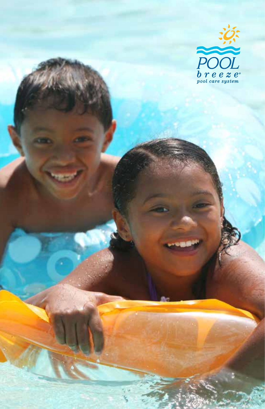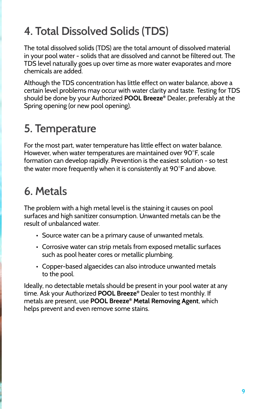## **4. Total Dissolved Solids (TDS)**

The total dissolved solids (TDS) are the total amount of dissolved material in your pool water - solids that are dissolved and cannot be filtered out. The TDS level naturally goes up over time as more water evaporates and more chemicals are added.

Although the TDS concentration has little effect on water balance, above a certain level problems may occur with water clarity and taste. Testing for TDS should be done by your Authorized **POOL Breeze®** Dealer, preferably at the Spring opening (or new pool opening).

## **5. Temperature**

For the most part, water temperature has little effect on water balance. However, when water temperatures are maintained over 90°F, scale formation can develop rapidly. Prevention is the easiest solution - so test the water more frequently when it is consistently at 90°F and above.

## **6. Metals**

The problem with a high metal level is the staining it causes on pool surfaces and high sanitizer consumption. Unwanted metals can be the result of unbalanced water.

- Source water can be a primary cause of unwanted metals.
- Corrosive water can strip metals from exposed metallic surfaces such as pool heater cores or metallic plumbing.
- Copper-based algaecides can also introduce unwanted metals to the pool.

Ideally, no detectable metals should be present in your pool water at any time. Ask your Authorized **POOL Breeze®** Dealer to test monthly. If metals are present, use **POOL Breeze® Metal Removing Agent**, which helps prevent and even remove some stains.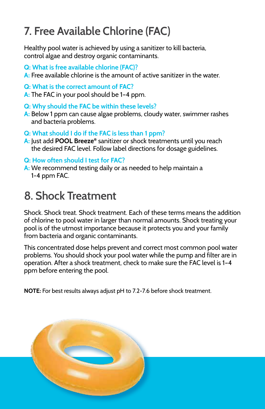### **7. Free Available Chlorine (FAC)**

Healthy pool water is achieved by using a sanitizer to kill bacteria, control algae and destroy organic contaminants.

- **Q: What is free available chlorine (FAC)?**
- **A:** Free available chlorine is the amount of active sanitizer in the water.
- **Q: What is the correct amount of FAC?**
- **A:** The FAC in your pool should be 1–4 ppm.
- **Q: Why should the FAC be within these levels?**
- **A:** Below 1 ppm can cause algae problems, cloudy water, swimmer rashes and bacteria problems.
- **Q: What should I do if the FAC is less than 1 ppm?**
- **A:** Just add **POOL Breeze®** sanitizer or shock treatments until you reach the desired FAC level. Follow label directions for dosage guidelines.
- **Q: How often should I test for FAC?**
- **A:** We recommend testing daily or as needed to help maintain a 1-4 ppm FAC.

## **8. Shock Treatment**

Shock. Shock treat. Shock treatment. Each of these terms means the addition of chlorine to pool water in larger than normal amounts. Shock treating your pool is of the utmost importance because it protects you and your family from bacteria and organic contaminants.

This concentrated dose helps prevent and correct most common pool water problems. You should shock your pool water while the pump and filter are in operation. After a shock treatment, check to make sure the FAC level is 1–4 ppm before entering the pool.

**NOTE:** For best results always adjust pH to 7.2-7.6 before shock treatment.

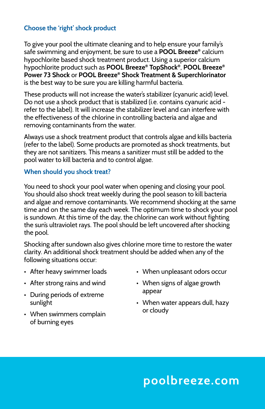### **Choose the 'right' shock product**

To give your pool the ultimate cleaning and to help ensure your family's safe swimming and enjoyment, be sure to use a **POOL Breeze®** calcium hypochlorite based shock treatment product. Using a superior calcium hypochlorite product such as **POOL Breeze® TopShock®**, **POOL Breeze® Power 73 Shock** or **POOL Breeze® Shock Treatment & Superchlorinator** is the best way to be sure you are killing harmful bacteria.

These products will not increase the water's stabilizer (cyanuric acid) level. Do not use a shock product that is stabilized (i.e. contains cyanuric acid refer to the label). It will increase the stabilizer level and can interfere with the effectiveness of the chlorine in controlling bacteria and algae and removing contaminants from the water.

Always use a shock treatment product that controls algae and kills bacteria (refer to the label). Some products are promoted as shock treatments, but they are not sanitizers. This means a sanitizer must still be added to the pool water to kill bacteria and to control algae.

#### **When should you shock treat?**

You need to shock your pool water when opening and closing your pool. You should also shock treat weekly during the pool season to kill bacteria and algae and remove contaminants. We recommend shocking at the same time and on the same day each week. The optimum time to shock your pool is sundown. At this time of the day, the chlorine can work without fighting the sun's ultraviolet rays. The pool should be left uncovered after shocking the pool.

Shocking after sundown also gives chlorine more time to restore the water clarity. An additional shock treatment should be added when any of the following situations occur:

- After heavy swimmer loads
- After strong rains and wind
- During periods of extreme sunlight
- When swimmers complain of burning eyes
- When unpleasant odors occur
- When signs of algae growth appear
- When water appears dull, hazy or cloudy

### **poolbreeze.com**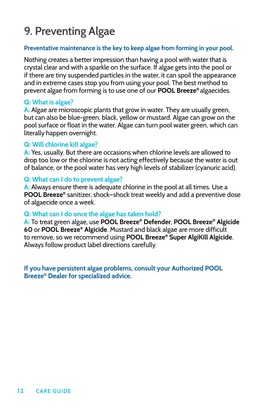### **9. Preventing Algae**

#### **Preventative maintenance is the key to keep algae from forming in your pool.**

Nothing creates a better impression than having a pool with water that is crystal clear and with a sparkle on the surface. If algae gets into the pool or if there are tiny suspended particles in the water, it can spoil the appearance and in extreme cases stop you from using your pool. The best method to prevent algae from forming is to use one of our **POOL Breeze®** algaecides.

#### **Q: What is algae?**

**A:** Algae are microscopic plants that grow in water. They are usually green, but can also be blue-green, black, yellow or mustard. Algae can grow on the pool surface or float in the water. Algae can turn pool water green, which can literally happen overnight.

#### **Q: Will chlorine kill algae?**

**A:** Yes, usually. But there are occasions when chlorine levels are allowed to drop too low or the chlorine is not acting effectively because the water is out of balance, or the pool water has very high levels of stabilizer (cyanuric acid).

#### **Q: What can I do to prevent algae?**

**A:** Always ensure there is adequate chlorine in the pool at all times. Use a **POOL Breeze®** sanitizer, shock—shock treat weekly and add a preventive dose of algaecide once a week.

#### **Q: What can I do once the algae has taken hold?**

**A:** To treat green algae, use **POOL Breeze® Defender**, **POOL Breeze® Algicide 60** or **POOL Breeze® Algicide**. Mustard and black algae are more difficult to remove, so we recommend using **POOL Breeze® Super AlgiKill Algicide**. Always follow product label directions carefully.

**If you have persistent algae problems, consult your Authorized POOL Breeze® Dealer for specialized advice.**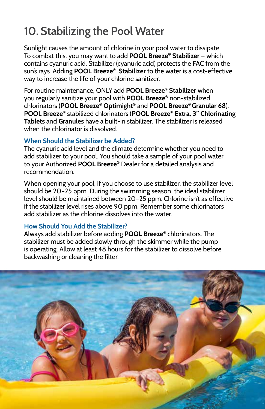## **10. Stabilizing the Pool Water**

Sunlight causes the amount of chlorine in your pool water to dissipate. To combat this, you may want to add **POOL Breeze® Stabilizer** — which contains cyanuric acid. Stabilizer (cyanuric acid) protects the FAC from the sun's rays. Adding **POOL Breeze® Stabilizer** to the water is a cost-effective way to increase the life of your chlorine sanitizer.

For routine maintenance, ONLY add **POOL Breeze® Stabilizer** when you regularly sanitize your pool with **POOL Breeze®** non-stabilized chlorinators (**POOL Breeze® Optimight®** and **POOL Breeze® Granular 68**). **POOL Breeze®** stabilized chlorinators (**POOL Breeze® Extra, 3" Chlorinating Tablets** and **Granules** have a built-in stabilizer. The stabilizer is released when the chlorinator is dissolved.

### **When Should the Stabilizer be Added?**

The cyanuric acid level and the climate determine whether you need to add stabilizer to your pool. You should take a sample of your pool water to your Authorized **POOL Breeze®** Dealer for a detailed analysis and recommendation.

When opening your pool, if you choose to use stabilizer, the stabilizer level should be 20–25 ppm. During the swimming season, the ideal stabilizer level should be maintained between 20–25 ppm. Chlorine isn't as effective if the stabilizer level rises above 90 ppm. Remember some chlorinators add stabilizer as the chlorine dissolves into the water.

#### **How Should You Add the Stabilizer?**

Always add stabilizer before adding **POOL Breeze®** chlorinators. The stabilizer must be added slowly through the skimmer while the pump is operating. Allow at least 48 hours for the stabilizer to dissolve before backwashing or cleaning the filter.

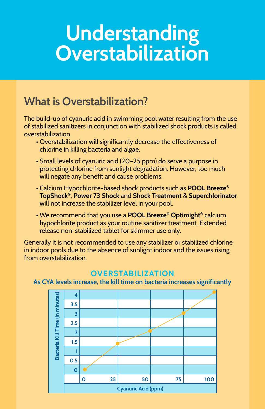## **Understanding Overstabilization**

### **What is Overstabilization?**

The build-up of cyanuric acid in swimming pool water resulting from the use of stabilized sanitizers in conjunction with stabilized shock products is called overstabilization.

- Overstabilization will significantly decrease the effectiveness of chlorine in killing bacteria and algae.
- Small levels of cyanuric acid (20–25 ppm) do serve a purpose in protecting chlorine from sunlight degradation. However, too much will negate any benefit and cause problems.
- Calcium Hypochlorite-based shock products such as **POOL Breeze® TopShock®**, **Power 73 Shock** and **Shock Treatment** & **Superchlorinator** will not increase the stabilizer level in your pool.
- We recommend that you use a **POOL Breeze® Optimight®** calcium hypochlorite product as your routine sanitizer treatment. Extended release non-stabilized tablet for skimmer use only.

Generally it is not recommended to use any stabilizer or stabilized chlorine in indoor pools due to the absence of sunlight indoor and the issues rising from overstabilization.

### **OVERSTABILIZATION**

**As CYA levels increase, the kill time on bacteria increases significantly**

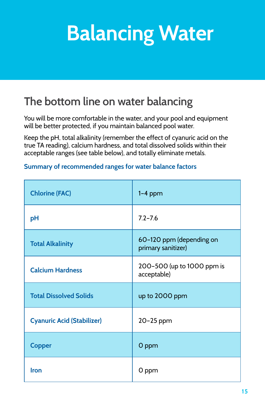## **Balancing Water**

## **The bottom line on water balancing**

You will be more comfortable in the water, and your pool and equipment will be better protected, if you maintain balanced pool water.

Keep the pH, total alkalinity (remember the effect of cyanuric acid on the true TA reading), calcium hardness, and total dissolved solids within their acceptable ranges (see table below), and totally eliminate metals.

### **Summary of recommended ranges for water balance factors**

| <b>Chlorine (FAC)</b>             | $1-4$ ppm                                      |
|-----------------------------------|------------------------------------------------|
| pH                                | $7.2 - 7.6$                                    |
| <b>Total Alkalinity</b>           | 60-120 ppm (depending on<br>primary sanitizer) |
| <b>Calcium Hardness</b>           | 200-500 (up to 1000 ppm is<br>acceptable)      |
| <b>Total Dissolved Solids</b>     | up to 2000 ppm                                 |
| <b>Cyanuric Acid (Stabilizer)</b> | 20-25 ppm                                      |
| <b>Copper</b>                     | O ppm                                          |
| Iron                              | 0 ppm                                          |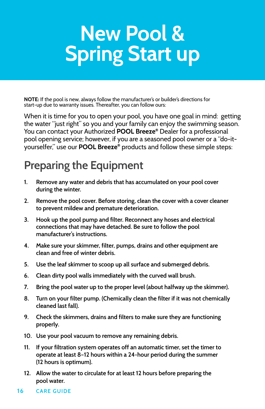## **New Pool & Spring Start up**

**NOTE:** If the pool is new, always follow the manufacturer's or builder's directions for start-up due to warranty issues. Thereafter, you can follow ours:

When it is time for you to open your pool, you have one goal in mind: getting the water "just right" so you and your family can enjoy the swimming season. You can contact your Authorized **POOL Breeze®** Dealer for a professional pool opening service; however, if you are a seasoned pool owner or a "do-ityourselfer," use our **POOL Breeze®** products and follow these simple steps:

### **Preparing the Equipment**

- **1. Remove any water and debris that has accumulated on your pool cover during the winter.**
- **2. Remove the pool cover. Before storing, clean the cover with a cover cleaner to prevent mildew and premature deterioration.**
- **3. Hook up the pool pump and filter. Reconnect any hoses and electrical connections that may have detached. Be sure to follow the pool manufacturer's instructions.**
- **4. Make sure your skimmer, filter, pumps, drains and other equipment are clean and free of winter debris.**
- **5. Use the leaf skimmer to scoop up all surface and submerged debris.**
- **6. Clean dirty pool walls immediately with the curved wall brush.**
- **7. Bring the pool water up to the proper level (about halfway up the skimmer).**
- **8. Turn on your filter pump. (Chemically clean the filter if it was not chemically cleaned last fall).**
- **9. Check the skimmers, drains and filters to make sure they are functioning properly.**
- **10. Use your pool vacuum to remove any remaining debris.**
- **11. If your filtration system operates off an automatic timer, set the timer to operate at least 8–12 hours within a 24-hour period during the summer (12 hours is optimum).**
- **12. Allow the water to circulate for at least 12 hours before preparing the pool water.**
- **16 CARE GUIDE**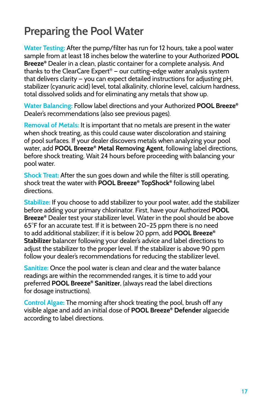### **Preparing the Pool Water**

**Water Testing:** After the pump/filter has run for 12 hours, take a pool water sample from at least 18 inches below the waterline to your Authorized **POOL Breeze®** Dealer in a clean, plastic container for a complete analysis. And thanks to the ClearCare Expert® — our cutting-edge water analysis system that delivers clarity — you can expect detailed instructions for adjusting pH, stabilizer (cyanuric acid) level, total alkalinity, chlorine level, calcium hardness, total dissolved solids and for eliminating any metals that show up.

**Water Balancing:** Follow label directions and your Authorized **POOL Breeze®** Dealer's recommendations (also see previous pages).

**Removal of Metals:** It is important that no metals are present in the water when shock treating, as this could cause water discoloration and staining of pool surfaces. If your dealer discovers metals when analyzing your pool water, add **POOL Breeze® Metal Removing Agent**, following label directions, before shock treating. Wait 24 hours before proceeding with balancing your pool water.

**Shock Treat:** After the sun goes down and while the filter is still operating, shock treat the water with **POOL Breeze® TopShock®** following label directions.

**Stabilize:** If you choose to add stabilizer to your pool water, add the stabilizer before adding your primary chlorinator. First, have your Authorized **POOL Breeze®** Dealer test your stabilizer level. Water in the pool should be above 65°F for an accurate test. If it is between 20–25 ppm there is no need to add additional stabilizer; if it is below 20 ppm, add **POOL Breeze® Stabilizer** balancer following your dealer's advice and label directions to adjust the stabilizer to the proper level. If the stabilizer is above 90 ppm follow your dealer's recommendations for reducing the stabilizer level.

**Sanitize:** Once the pool water is clean and clear and the water balance readings are within the recommended ranges, it is time to add your preferred **POOL Breeze® Sanitizer**, (always read the label directions for dosage instructions).

**Control Algae:** The morning after shock treating the pool, brush off any visible algae and add an initial dose of **POOL Breeze® Defender** algaecide according to label directions.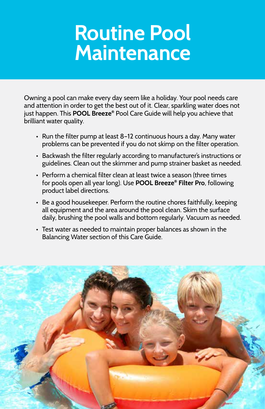## **Routine Pool Maintenance**

Owning a pool can make every day seem like a holiday. Your pool needs care and attention in order to get the best out of it. Clear, sparkling water does not just happen. This **POOL Breeze®** Pool Care Guide will help you achieve that brilliant water quality.

- Run the filter pump at least 8–12 continuous hours a day. Many water problems can be prevented if you do not skimp on the filter operation.
- Backwash the filter regularly according to manufacturer's instructions or guidelines. Clean out the skimmer and pump strainer basket as needed.
- Perform a chemical filter clean at least twice a season (three times for pools open all year long). Use **POOL Breeze® Filter Pro**, following product label directions.
- Be a good housekeeper. Perform the routine chores faithfully, keeping all equipment and the area around the pool clean. Skim the surface daily, brushing the pool walls and bottom regularly. Vacuum as needed.
- Test water as needed to maintain proper balances as shown in the Balancing Water section of this Care Guide.

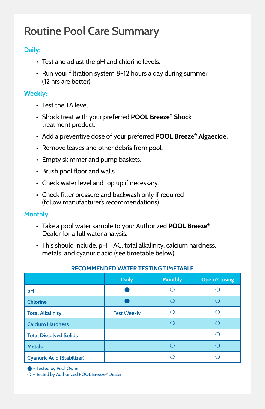### **Routine Pool Care Summary**

### **Daily:**

- Test and adjust the pH and chlorine levels.
- Run your filtration system 8–12 hours a day during summer (12 hrs are better).

### **Weekly:**

- Test the TA level.
- Shock treat with your preferred **POOL Breeze® Shock**  treatment product.
- Add a preventive dose of your preferred **POOL Breeze® Algaecide.**
- Remove leaves and other debris from pool.
- Empty skimmer and pump baskets.
- Brush pool floor and walls.
- Check water level and top up if necessary.
- Check filter pressure and backwash only if required (follow manufacturer's recommendations).

#### **Monthly:**

- Take a pool water sample to your Authorized **POOL Breeze®** Dealer for a full water analysis.
- This should include: pH, FAC, total alkalinity, calcium hardness, metals, and cyanuric acid (see timetable below).

|                                   | <b>Daily</b>       | <b>Monthly</b> | <b>Open/Closing</b> |
|-----------------------------------|--------------------|----------------|---------------------|
| pH                                |                    |                |                     |
| <b>Chlorine</b>                   |                    |                |                     |
| <b>Total Alkalinity</b>           | <b>Test Weekly</b> |                |                     |
| <b>Calcium Hardness</b>           |                    |                |                     |
| <b>Total Dissolved Solids</b>     |                    |                |                     |
| <b>Metals</b>                     |                    |                |                     |
| <b>Cyanuric Acid (Stabilizer)</b> |                    |                |                     |

#### **RECOMMENDED WATER TESTING TIMETABLE**

l **=** Tested by Pool Owner

m **=** Tested by Authorized POOL Breeze® Dealer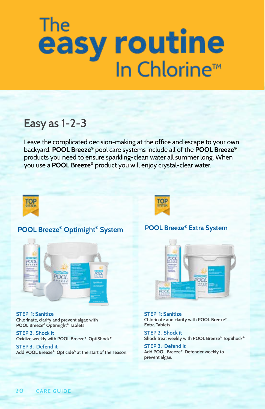# The easy routine<br>In Chlorine™

### **Easy as 1-2-3**

Leave the complicated decision-making at the office and escape to your own backyard. **POOL Breeze®** pool care systems include all of the **POOL Breeze®** products you need to ensure sparkling-clean water all summer long. When you use a **POOL Breeze®** product you will enjoy crystal-clear water.



### **POOL Breeze® Optimight® System**



**STEP 1: Sanitize Chlorinate, clarify and prevent algae with POOL Breeze® Optimight® Tablets**

**STEP 2. Shock it Oxidize weekly with POOL Breeze® OptiShock®**

**STEP 3. Defend it Add POOL Breeze® Opticide® at the start of the season.**

### **POOL Breeze® Extra System**

TOP

**SYSTEM** 



**STEP 1: Sanitize Chlorinate and clarify with POOL Breeze® Extra Tablets** 

**STEP 2. Shock it Shock treat weekly with POOL Breeze® TopShock®**

**STEP 3. Defend it Add POOL Breeze® Defender weekly to prevent algae.**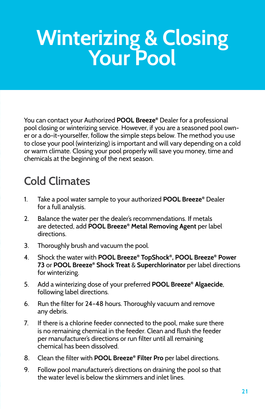# **Winterizing & Closing Your Pool**

You can contact your Authorized **POOL Breeze®** Dealer for a professional pool closing or winterizing service. However, if you are a seasoned pool owner or a do-it-yourselfer, follow the simple steps below. The method you use to close your pool (winterizing) is important and will vary depending on a cold or warm climate. Closing your pool properly will save you money, time and chemicals at the beginning of the next season.

## **Cold Climates**

- 1. Take a pool water sample to your authorized **POOL Breeze®** Dealer for a full analysis.
- 2. Balance the water per the dealer's recommendations. If metals are detected, add **POOL Breeze® Metal Removing Agent** per label directions.
- 3. Thoroughly brush and vacuum the pool.
- 4. Shock the water with **POOL Breeze® TopShock®, POOL Breeze® Power 73** or **POOL Breeze® Shock Treat** & **Superchlorinator** per label directions for winterizing.
- 5. Add a winterizing dose of your preferred **POOL Breeze® Algaecide**, following label directions.
- 6. Run the filter for 24–48 hours. Thoroughly vacuum and remove any debris.
- 7. If there is a chlorine feeder connected to the pool, make sure there is no remaining chemical in the feeder. Clean and flush the feeder per manufacturer's directions or run filter until all remaining chemical has been dissolved.
- 8. Clean the filter with **POOL Breeze® Filter Pro** per label directions.
- 9. Follow pool manufacturer's directions on draining the pool so that the water level is below the skimmers and inlet lines.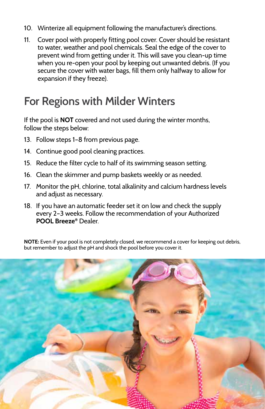- 10. Winterize all equipment following the manufacturer's directions.
- 11. Cover pool with properly fitting pool cover. Cover should be resistant to water, weather and pool chemicals. Seal the edge of the cover to prevent wind from getting under it. This will save you clean-up time when you re-open your pool by keeping out unwanted debris. (If you secure the cover with water bags, fill them only halfway to allow for expansion if they freeze).

### **For Regions with Milder Winters**

If the pool is **NOT** covered and not used during the winter months, follow the steps below:

- 13. Follow steps 1–8 from previous page.
- 14. Continue good pool cleaning practices.
- 15. Reduce the filter cycle to half of its swimming season setting.
- 16. Clean the skimmer and pump baskets weekly or as needed.
- 17. Monitor the pH, chlorine, total alkalinity and calcium hardness levels and adjust as necessary.
- 18. If you have an automatic feeder set it on low and check the supply every 2–3 weeks. Follow the recommendation of your Authorized **POOL Breeze®** Dealer.

**NOTE:** Even if your pool is not completely closed, we recommend a cover for keeping out debris, but remember to adjust the pH and shock the pool before you cover it.

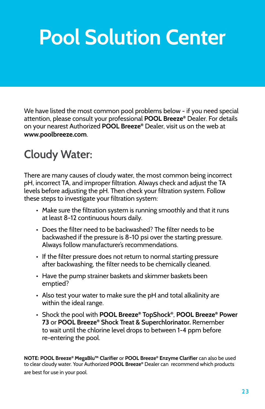## **Pool Solution Center**

We have listed the most common pool problems below - if you need special attention, please consult your professional **POOL Breeze®** Dealer. For details on your nearest Authorized **POOL Breeze®** Dealer, visit us on the web at **www.poolbreeze.com**.

## **Cloudy Water:**

There are many causes of cloudy water, the most common being incorrect pH, incorrect TA, and improper filtration. Always check and adjust the TA levels before adjusting the pH. Then check your filtration system. Follow these steps to investigate your filtration system:

- Make sure the filtration system is running smoothly and that it runs at least 8-12 continuous hours daily.
- Does the filter need to be backwashed? The filter needs to be backwashed if the pressure is 8-10 psi over the starting pressure. Always follow manufacturer's recommendations.
- If the filter pressure does not return to normal starting pressure after backwashing, the filter needs to be chemically cleaned.
- Have the pump strainer baskets and skimmer baskets been emptied?
- Also test your water to make sure the pH and total alkalinity are within the ideal range.
- Shock the pool with **POOL Breeze® TopShock®**, **POOL Breeze® Power 73** or **POOL Breeze® Shock Treat & Superchlorinator.** Remember to wait until the chlorine level drops to between 1-4 ppm before re-entering the pool.

**NOTE: POOL Breeze® MegaBlu™ Clarifier** or **POOL Breeze® Enzyme Clarifier** can also be used to clear cloudy water. Your Authorized **POOL Breeze®** Dealer can recommend which products are best for use in your pool.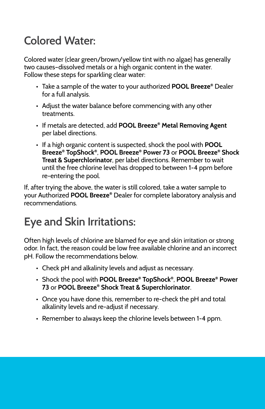## **Colored Water:**

Colored water (clear green/brown/yellow tint with no algae) has generally two causes–dissolved metals or a high organic content in the water. Follow these steps for sparkling clear water:

- Take a sample of the water to your authorized **POOL Breeze®** Dealer for a full analysis.
- Adjust the water balance before commencing with any other treatments.
- If metals are detected, add **POOL Breeze® Metal Removing Agent** per label directions.
- If a high organic content is suspected, shock the pool with **POOL Breeze® TopShock®**, **POOL Breeze® Power 73** or **POOL Breeze® Shock Treat & Superchlorinator**, per label directions. Remember to wait until the free chlorine level has dropped to between 1-4 ppm before re-entering the pool.

If, after trying the above, the water is still colored, take a water sample to your Authorized **POOL Breeze®** Dealer for complete laboratory analysis and recommendations.

## **Eye and Skin Irritations:**

Often high levels of chlorine are blamed for eye and skin irritation or strong odor. In fact, the reason could be low free available chlorine and an incorrect pH. Follow the recommendations below.

- Check pH and alkalinity levels and adjust as necessary.
- Shock the pool with **POOL Breeze® TopShock®**, **POOL Breeze® Power 73** or **POOL Breeze® Shock Treat & Superchlorinator**.
- Once you have done this, remember to re-check the pH and total alkalinity levels and re-adjust if necessary.
- Remember to always keep the chlorine levels between 1-4 ppm.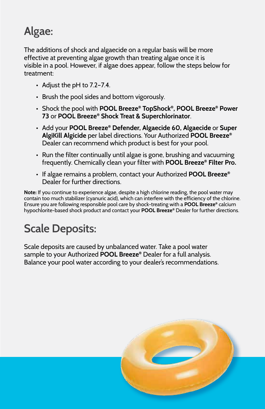## **Algae:**

The additions of shock and algaecide on a regular basis will be more effective at preventing algae growth than treating algae once it is visible in a pool. However, if algae does appear, follow the steps below for treatment:

- Adjust the pH to 7.2–7.4.
- Brush the pool sides and bottom vigorously.
- Shock the pool with **POOL Breeze® TopShock®, POOL Breeze® Power 73** or **POOL Breeze® Shock Treat & Superchlorinator**.
- Add your **POOL Breeze® Defender, Algaecide 60, Algaecide** or **Super AlgiKill Algicide** per label directions. Your Authorized **POOL Breeze®** Dealer can recommend which product is best for your pool.
- Run the filter continually until algae is gone, brushing and vacuuming frequently. Chemically clean your filter with **POOL Breeze® Filter Pro.**
- If algae remains a problem, contact your Authorized **POOL Breeze®** Dealer for further directions.

**Note:** If you continue to experience algae, despite a high chlorine reading, the pool water may contain too much stabilizer (cyanuric acid), which can interfere with the efficiency of the chlorine. Ensure you are following responsible pool care by shock-treating with a **POOL Breeze®** calcium hypochlorite-based shock product and contact your **POOL Breeze®** Dealer for further directions.

## **Scale Deposits:**

Scale deposits are caused by unbalanced water. Take a pool water sample to your Authorized **POOL Breeze®** Dealer for a full analysis. Balance your pool water according to your dealer's recommendations.

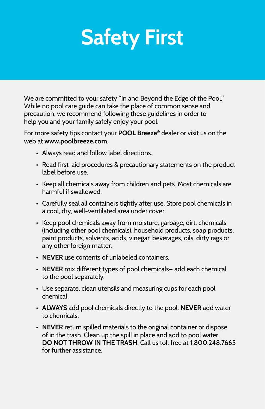## **Safety First**

We are committed to your safety "In and Beyond the Edge of the Pool." While no pool care guide can take the place of common sense and precaution, we recommend following these guidelines in order to help you and your family safely enjoy your pool.

For more safety tips contact your **POOL Breeze®** dealer or visit us on the web at **www.poolbreeze.com**.

- Always read and follow label directions.
- Read first-aid procedures & precautionary statements on the product label before use.
- Keep all chemicals away from children and pets. Most chemicals are harmful if swallowed.
- Carefully seal all containers tightly after use. Store pool chemicals in a cool, dry, well-ventilated area under cover.
- Keep pool chemicals away from moisture, garbage, dirt, chemicals (including other pool chemicals), household products, soap products, paint products, solvents, acids, vinegar, beverages, oils, dirty rags or any other foreign matter.
- **• NEVER** use contents of unlabeled containers.
- **NEVER** mix different types of pool chemicals— add each chemical to the pool separately.
- Use separate, clean utensils and measuring cups for each pool chemical.
- **ALWAYS** add pool chemicals directly to the pool. **NEVER** add water to chemicals.
- **• NEVER** return spilled materials to the original container or dispose of in the trash. Clean up the spill in place and add to pool water. **DO NOT THROW IN THE TRASH**. Call us toll free at 1.800.248.7665 for further assistance.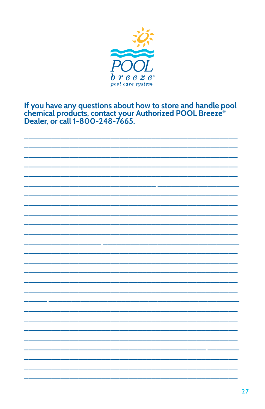

# If you have any questions about how to store and handle pool chemical products, contact your Authorized POOL Breeze®<br>Dealer, or call 1-800-248-7665.